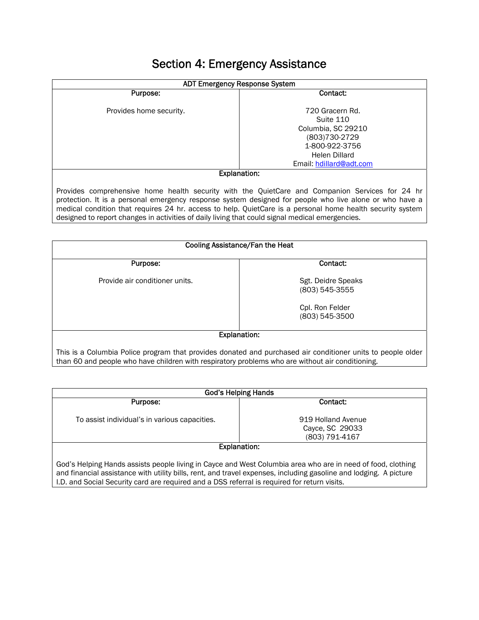## Section 4: Emergency Assistance

| <b>ADT Emergency Response System</b>                                                                                                                                                                       |                              |
|------------------------------------------------------------------------------------------------------------------------------------------------------------------------------------------------------------|------------------------------|
| Purpose:                                                                                                                                                                                                   | Contact:                     |
| Provides home security.                                                                                                                                                                                    | 720 Gracern Rd.<br>Suite 110 |
|                                                                                                                                                                                                            | Columbia, SC 29210           |
|                                                                                                                                                                                                            | (803)730-2729                |
|                                                                                                                                                                                                            | 1-800-922-3756               |
|                                                                                                                                                                                                            | Helen Dillard                |
|                                                                                                                                                                                                            | Email: hdillard@adt.com      |
| <b>Explanation:</b>                                                                                                                                                                                        |                              |
| Provides comprehensive home health security with the QuietCare and Companion Services for 24 hr<br>protection. It is a personal emergency response system designed for people who live alone or who have a |                              |

medical condition that requires 24 hr. access to help. QuietCare is a personal home health security system designed to report changes in activities of daily living that could signal medical emergencies.

| Cooling Assistance/Fan the Heat                                                                                                                                                                                 |                                      |
|-----------------------------------------------------------------------------------------------------------------------------------------------------------------------------------------------------------------|--------------------------------------|
| Purpose:                                                                                                                                                                                                        | Contact:                             |
| Provide air conditioner units.                                                                                                                                                                                  | Sgt. Deidre Speaks<br>(803) 545-3555 |
|                                                                                                                                                                                                                 | Cpl. Ron Felder<br>(803) 545-3500    |
| <b>Explanation:</b>                                                                                                                                                                                             |                                      |
| This is a Columbia Police program that provides donated and purchased air conditioner units to people older<br>than 60 and people who have children with respiratory problems who are without air conditioning. |                                      |

| <b>God's Helping Hands</b>                                                                                                                                                                                                                                                                                                       |                                                         |
|----------------------------------------------------------------------------------------------------------------------------------------------------------------------------------------------------------------------------------------------------------------------------------------------------------------------------------|---------------------------------------------------------|
| Purpose:                                                                                                                                                                                                                                                                                                                         | Contact:                                                |
| To assist individual's in various capacities.                                                                                                                                                                                                                                                                                    | 919 Holland Avenue<br>Cayce, SC 29033<br>(803) 791-4167 |
| Explanation:                                                                                                                                                                                                                                                                                                                     |                                                         |
| God's Helping Hands assists people living in Cayce and West Columbia area who are in need of food, clothing<br>and financial assistance with utility bills, rent, and travel expenses, including gasoline and lodging. A picture<br>I.D. and Social Security card are required and a DSS referral is required for return visits. |                                                         |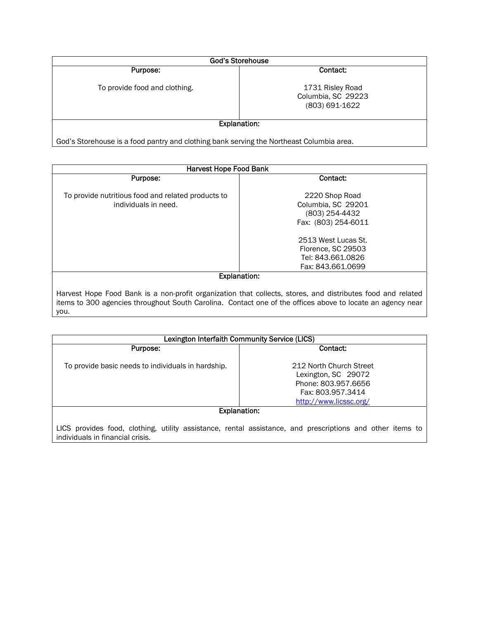| <b>God's Storehouse</b>                                                                  |                                                          |
|------------------------------------------------------------------------------------------|----------------------------------------------------------|
| Purpose:                                                                                 | Contact:                                                 |
| To provide food and clothing.                                                            | 1731 Risley Road<br>Columbia, SC 29223<br>(803) 691-1622 |
| <b>Explanation:</b>                                                                      |                                                          |
| God's Storehouse is a food pantry and clothing bank serving the Northeast Columbia area. |                                                          |

| <b>Harvest Hope Food Bank</b>                                              |                                                                                                                                                                                                                           |
|----------------------------------------------------------------------------|---------------------------------------------------------------------------------------------------------------------------------------------------------------------------------------------------------------------------|
| Purpose:                                                                   | Contact:                                                                                                                                                                                                                  |
| To provide nutritious food and related products to<br>individuals in need. | 2220 Shop Road<br>Columbia, SC 29201<br>(803) 254-4432<br>Fax: (803) 254-6011<br>2513 West Lucas St.<br>Florence, SC 29503<br>Tel: 843.661.0826<br>Fax: 843.661.0699                                                      |
| <b>Explanation:</b>                                                        |                                                                                                                                                                                                                           |
| you.                                                                       | Harvest Hope Food Bank is a non-profit organization that collects, stores, and distributes food and related<br>items to 300 agencies throughout South Carolina. Contact one of the offices above to locate an agency near |

| Lexington Interfaith Community Service (LICS)                                                                                                 |                                                                                                                      |
|-----------------------------------------------------------------------------------------------------------------------------------------------|----------------------------------------------------------------------------------------------------------------------|
| Purpose:                                                                                                                                      | Contact:                                                                                                             |
| To provide basic needs to individuals in hardship.                                                                                            | 212 North Church Street<br>Lexington, SC 29072<br>Phone: 803.957.6656<br>Fax: 803.957.3414<br>http://www.licssc.org/ |
| Explanation:                                                                                                                                  |                                                                                                                      |
| LICS provides food, clothing, utility assistance, rental assistance, and prescriptions and other items to<br>individuals in financial crisis. |                                                                                                                      |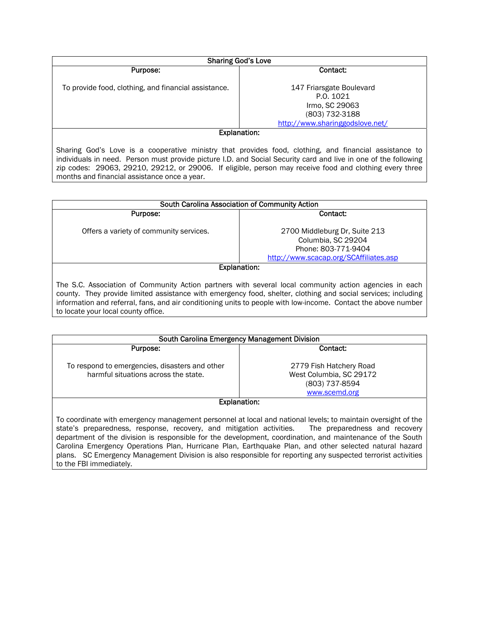| <b>Sharing God's Love</b>                            |                                                                                                        |
|------------------------------------------------------|--------------------------------------------------------------------------------------------------------|
| Purpose:                                             | Contact:                                                                                               |
| To provide food, clothing, and financial assistance. | 147 Friarsgate Boulevard<br>P.O. 1021<br>Irmo, SC 29063<br>(803) 732-3188                              |
|                                                      | http://www.sharinggodslove.net/                                                                        |
| <b>Explanation:</b>                                  |                                                                                                        |
|                                                      | Sharing God's Love is a cooperative ministry that provides food clothing and financial assistance to b |

od's Love is a cooperative ministry that provides food, clothing, and financial assistance to individuals in need. Person must provide picture I.D. and Social Security card and live in one of the following zip codes: 29063, 29210, 29212, or 29006. If eligible, person may receive food and clothing every three months and financial assistance once a year.

|                                         | South Carolina Association of Community Action                                                                                                                                                                                                                                                                                            |
|-----------------------------------------|-------------------------------------------------------------------------------------------------------------------------------------------------------------------------------------------------------------------------------------------------------------------------------------------------------------------------------------------|
| Purpose:                                | Contact:                                                                                                                                                                                                                                                                                                                                  |
| Offers a variety of community services. | 2700 Middleburg Dr. Suite 213                                                                                                                                                                                                                                                                                                             |
|                                         | Columbia, SC 29204                                                                                                                                                                                                                                                                                                                        |
|                                         | Phone: 803-771-9404                                                                                                                                                                                                                                                                                                                       |
|                                         | http://www.scacap.org/SCAffiliates.asp                                                                                                                                                                                                                                                                                                    |
|                                         | Explanation:                                                                                                                                                                                                                                                                                                                              |
|                                         | The S.C. Association of Community Action partners with several local community action agencies in each<br>county. They provide limited assistance with emergency food, shelter, clothing and social services; including<br>information and referral, fans, and air conditioning units to people with low-income. Contact the above number |

to locate your local county office.

| South Carolina Emergency Management Division                                                                                                                                                                                                                                                                                                                                                                                              |                                 |
|-------------------------------------------------------------------------------------------------------------------------------------------------------------------------------------------------------------------------------------------------------------------------------------------------------------------------------------------------------------------------------------------------------------------------------------------|---------------------------------|
| Purpose:                                                                                                                                                                                                                                                                                                                                                                                                                                  | Contact:                        |
| To respond to emergencies, disasters and other                                                                                                                                                                                                                                                                                                                                                                                            | 2779 Fish Hatchery Road         |
| harmful situations across the state.                                                                                                                                                                                                                                                                                                                                                                                                      | West Columbia, SC 29172         |
|                                                                                                                                                                                                                                                                                                                                                                                                                                           | (803) 737-8594<br>www.scemd.org |
| <b>Explanation:</b>                                                                                                                                                                                                                                                                                                                                                                                                                       |                                 |
| To coordinate with emergency management personnel at local and national levels; to maintain oversight of the<br>state's preparedness, response, recovery, and mitigation activities. The preparedness and recovery<br>department of the division is responsible for the development, coordination, and maintenance of the South<br>Carolina Emergency Operations Plan, Hurricane Plan, Earthquake Plan, and other selected natural hazard |                                 |
| plans. SC Emergency Management Division is also responsible for reporting any suspected terrorist activities                                                                                                                                                                                                                                                                                                                              |                                 |

to the FBI immediately.